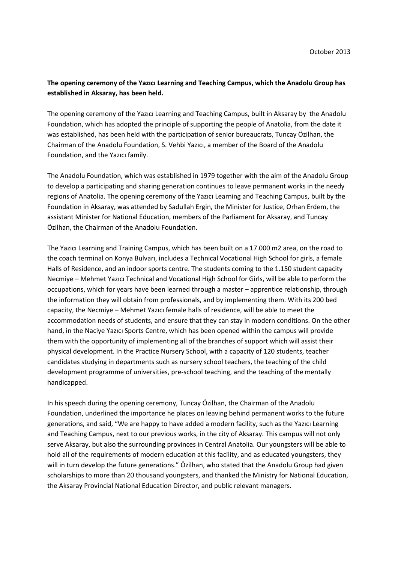## **The opening ceremony of the Yazıcı Learning and Teaching Campus, which the Anadolu Group has established in Aksaray, has been held.**

The opening ceremony of the Yazıcı Learning and Teaching Campus, built in Aksaray by the Anadolu Foundation, which has adopted the principle of supporting the people of Anatolia, from the date it was established, has been held with the participation of senior bureaucrats, Tuncay Özilhan, the Chairman of the Anadolu Foundation, S. Vehbi Yazıcı, a member of the Board of the Anadolu Foundation, and the Yazıcı family.

The Anadolu Foundation, which was established in 1979 together with the aim of the Anadolu Group to develop a participating and sharing generation continues to leave permanent works in the needy regions of Anatolia. The opening ceremony of the Yazıcı Learning and Teaching Campus, built by the Foundation in Aksaray, was attended by Sadullah Ergin, the Minister for Justice, Orhan Erdem, the assistant Minister for National Education, members of the Parliament for Aksaray, and Tuncay Özilhan, the Chairman of the Anadolu Foundation.

The Yazıcı Learning and Training Campus, which has been built on a 17.000 m2 area, on the road to the coach terminal on Konya Bulvarı, includes a Technical Vocational High School for girls, a female Halls of Residence, and an indoor sports centre. The students coming to the 1.150 student capacity Necmiye – Mehmet Yazıcı Technical and Vocational High School for Girls, will be able to perform the occupations, which for years have been learned through a master – apprentice relationship, through the information they will obtain from professionals, and by implementing them. With its 200 bed capacity, the Necmiye – Mehmet Yazıcı female halls of residence, will be able to meet the accommodation needs of students, and ensure that they can stay in modern conditions. On the other hand, in the Naciye Yazıcı Sports Centre, which has been opened within the campus will provide them with the opportunity of implementing all of the branches of support which will assist their physical development. In the Practice Nursery School, with a capacity of 120 students, teacher candidates studying in departments such as nursery school teachers, the teaching of the child development programme of universities, pre-school teaching, and the teaching of the mentally handicapped.

In his speech during the opening ceremony, Tuncay Özilhan, the Chairman of the Anadolu Foundation, underlined the importance he places on leaving behind permanent works to the future generations, and said, "We are happy to have added a modern facility, such as the Yazıcı Learning and Teaching Campus, next to our previous works, in the city of Aksaray. This campus will not only serve Aksaray, but also the surrounding provinces in Central Anatolia. Our youngsters will be able to hold all of the requirements of modern education at this facility, and as educated youngsters, they will in turn develop the future generations." Özilhan, who stated that the Anadolu Group had given scholarships to more than 20 thousand youngsters, and thanked the Ministry for National Education, the Aksaray Provincial National Education Director, and public relevant managers.